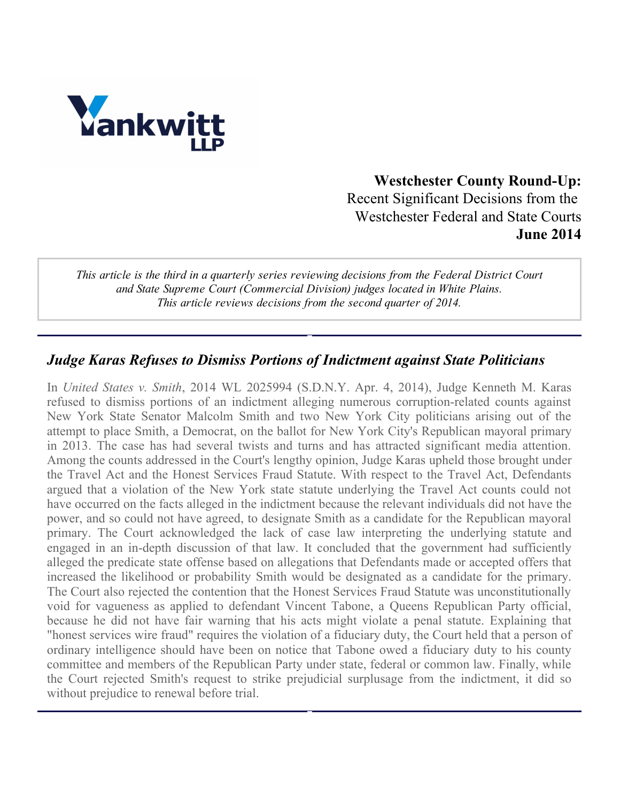

Westchester County Round-Up: Recent Significant Decisions from the Westchester Federal and State Courts June 2014

This article is the third in a quarterly series reviewing decisions from the Federal District Court and State Supreme Court (Commercial Division) judges located in White Plains. This article reviews decisions from the second quarter of 2014.

#### Judge Karas Refuses to Dismiss Portions of Indictment against State Politicians

In United States v. Smith, 2014 WL 2025994 (S.D.N.Y. Apr. 4, 2014), Judge Kenneth M. Karas refused to dismiss portions of an indictment alleging numerous corruption-related counts against New York State Senator Malcolm Smith and two New York City politicians arising out of the attempt to place Smith, a Democrat, on the ballot for New York City's Republican mayoral primary in 2013. The case has had several twists and turns and has attracted significant media attention. Among the counts addressed in the Court's lengthy opinion, Judge Karas upheld those brought under the Travel Act and the Honest Services Fraud Statute. With respect to the Travel Act, Defendants argued that a violation of the New York state statute underlying the Travel Act counts could not have occurred on the facts alleged in the indictment because the relevant individuals did not have the power, and so could not have agreed, to designate Smith as a candidate for the Republican mayoral primary. The Court acknowledged the lack of case law interpreting the underlying statute and engaged in an in-depth discussion of that law. It concluded that the government had sufficiently alleged the predicate state offense based on allegations that Defendants made or accepted offers that increased the likelihood or probability Smith would be designated as a candidate for the primary. The Court also rejected the contention that the Honest Services Fraud Statute was unconstitutionally void for vagueness as applied to defendant Vincent Tabone, a Queens Republican Party official, because he did not have fair warning that his acts might violate a penal statute. Explaining that "honest services wire fraud" requires the violation of a fiduciary duty, the Court held that a person of ordinary intelligence should have been on notice that Tabone owed a fiduciary duty to his county committee and members of the Republican Party under state, federal or common law. Finally, while the Court rejected Smith's request to strike prejudicial surplusage from the indictment, it did so without prejudice to renewal before trial.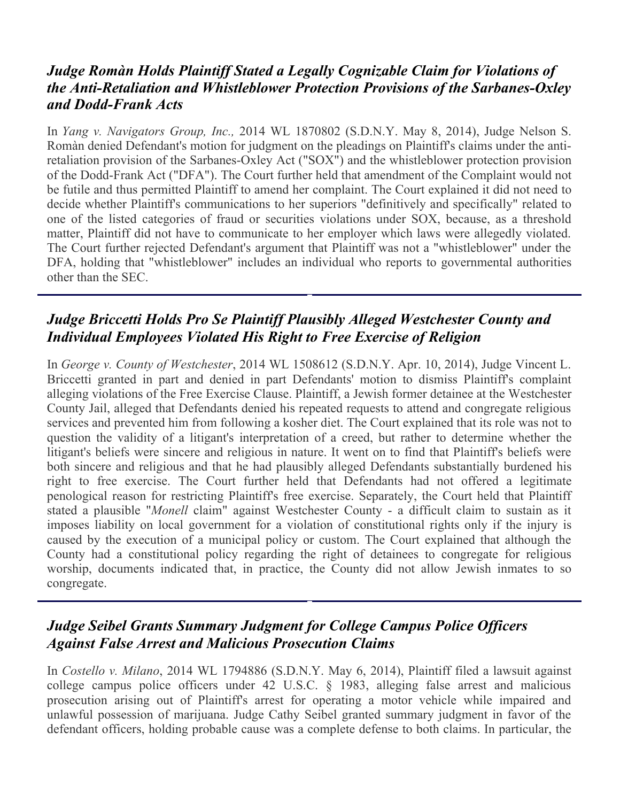## Judge Romàn Holds Plaintiff Stated a Legally Cognizable Claim for Violations of the Anti-Retaliation and Whistleblower Protection Provisions of the Sarbanes-Oxley and Dodd-Frank Acts

In Yang v. Navigators Group, Inc., 2014 WL 1870802 (S.D.N.Y. May 8, 2014), Judge Nelson S. Romàn denied Defendant's motion for judgment on the pleadings on Plaintiff's claims under the antiretaliation provision of the Sarbanes-Oxley Act ("SOX") and the whistleblower protection provision of the Dodd-Frank Act ("DFA"). The Court further held that amendment of the Complaint would not be futile and thus permitted Plaintiff to amend her complaint. The Court explained it did not need to decide whether Plaintiff's communications to her superiors "definitively and specifically" related to one of the listed categories of fraud or securities violations under SOX, because, as a threshold matter, Plaintiff did not have to communicate to her employer which laws were allegedly violated. The Court further rejected Defendant's argument that Plaintiff was not a "whistleblower" under the DFA, holding that "whistleblower" includes an individual who reports to governmental authorities other than the SEC.

# Judge Briccetti Holds Pro Se Plaintiff Plausibly Alleged Westchester County and Individual Employees Violated His Right to Free Exercise of Religion

In George v. County of Westchester, 2014 WL 1508612 (S.D.N.Y. Apr. 10, 2014), Judge Vincent L. Briccetti granted in part and denied in part Defendants' motion to dismiss Plaintiff's complaint alleging violations of the Free Exercise Clause. Plaintiff, a Jewish former detainee at the Westchester County Jail, alleged that Defendants denied his repeated requests to attend and congregate religious services and prevented him from following a kosher diet. The Court explained that its role was not to question the validity of a litigant's interpretation of a creed, but rather to determine whether the litigant's beliefs were sincere and religious in nature. It went on to find that Plaintiff's beliefs were both sincere and religious and that he had plausibly alleged Defendants substantially burdened his right to free exercise. The Court further held that Defendants had not offered a legitimate penological reason for restricting Plaintiff's free exercise. Separately, the Court held that Plaintiff stated a plausible "*Monell* claim" against Westchester County - a difficult claim to sustain as it imposes liability on local government for a violation of constitutional rights only if the injury is caused by the execution of a municipal policy or custom. The Court explained that although the County had a constitutional policy regarding the right of detainees to congregate for religious worship, documents indicated that, in practice, the County did not allow Jewish inmates to so congregate.

# Judge Seibel Grants Summary Judgment for College Campus Police Officers Against False Arrest and Malicious Prosecution Claims

In Costello v. Milano, 2014 WL 1794886 (S.D.N.Y. May 6, 2014), Plaintiff filed a lawsuit against college campus police officers under 42 U.S.C. § 1983, alleging false arrest and malicious prosecution arising out of Plaintiff's arrest for operating a motor vehicle while impaired and unlawful possession of marijuana. Judge Cathy Seibel granted summary judgment in favor of the defendant officers, holding probable cause was a complete defense to both claims. In particular, the